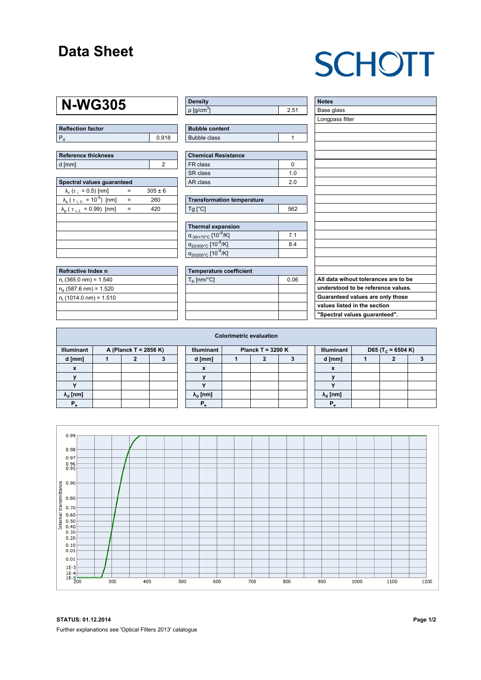### **Data Sheet**

# **SCHOTT**

### **N-WG305**

| Reflection factor |       |  |  |  |  |
|-------------------|-------|--|--|--|--|
|                   | 0.918 |  |  |  |  |

| Reference thickness |  |  |  |  |  |  |
|---------------------|--|--|--|--|--|--|
| d [mm]              |  |  |  |  |  |  |

| Spectral values quaranteed                             |     |             |  |  |  |  |  |  |  |
|--------------------------------------------------------|-----|-------------|--|--|--|--|--|--|--|
| $\lambda_c$ ( $\tau_i$ = 0.5) [nm]                     |     | $305 \pm 6$ |  |  |  |  |  |  |  |
| $\lambda_{s}$ ( $\tau_{i,U}$ = 10 <sup>-5</sup> ) [nm] |     | 260         |  |  |  |  |  |  |  |
| $\lambda_{\rm p}$ ( $\tau_{\rm i, L}$ = 0.99) [nm]     | $=$ | 420         |  |  |  |  |  |  |  |
|                                                        |     |             |  |  |  |  |  |  |  |
|                                                        |     |             |  |  |  |  |  |  |  |
|                                                        |     |             |  |  |  |  |  |  |  |
|                                                        |     |             |  |  |  |  |  |  |  |
|                                                        |     |             |  |  |  |  |  |  |  |

| Refractive Index n              |  |
|---------------------------------|--|
| $n_i$ (365.0 nm) = 1.540        |  |
| $n_d$ (587.6 nm) = 1.520        |  |
| $n_{\rm t}$ (1014.0 nm) = 1.510 |  |
|                                 |  |

| <b>Density</b>              |      |
|-----------------------------|------|
| $\rho$ [g/cm <sup>3</sup> ] | 2.51 |

| <b>Bubble content</b> |  |
|-----------------------|--|
| Bubble class          |  |

| Chemical Resistance |     |  |  |  |  |  |
|---------------------|-----|--|--|--|--|--|
| l FR class          |     |  |  |  |  |  |
| SR class            | 1 በ |  |  |  |  |  |
| l AR class          | 20  |  |  |  |  |  |

| <b>Transformation temperature</b> |     |
|-----------------------------------|-----|
| $Tg$ [ $^{\circ}$ C]              | 562 |

| Thermal expansion                                 |                |  |  |  |  |  |  |
|---------------------------------------------------|----------------|--|--|--|--|--|--|
| $\alpha_{.30/+70\degree}$ C [10 <sup>-6</sup> /K] | 7 <sub>1</sub> |  |  |  |  |  |  |
| $\alpha_{20/300^{\circ}C}$ [10 <sup>-6</sup> /K]  | 84             |  |  |  |  |  |  |
| $\alpha_{20/200^{\circ}C}$ [10 <sup>-6</sup> /K]  |                |  |  |  |  |  |  |

| Temperature coefficient |      |  |  |  |  |  |  |
|-------------------------|------|--|--|--|--|--|--|
| $T_{\rm K}$ [nm/°C]     | 0.06 |  |  |  |  |  |  |
|                         |      |  |  |  |  |  |  |
|                         |      |  |  |  |  |  |  |
|                         |      |  |  |  |  |  |  |
|                         |      |  |  |  |  |  |  |

| <b>Notes</b>                         |
|--------------------------------------|
| Base glass                           |
| Longpass filter                      |
|                                      |
|                                      |
|                                      |
|                                      |
|                                      |
|                                      |
|                                      |
|                                      |
|                                      |
|                                      |
|                                      |
|                                      |
|                                      |
|                                      |
|                                      |
|                                      |
|                                      |
|                                      |
|                                      |
| All data wihout tolerances are to be |
| understood to be reference values.   |
| Guaranteed values are only those     |
| values listed in the section         |
| "Spectral values guaranteed".        |

|                                            | <b>Colorimetric evaluation</b> |   |  |  |                                          |  |  |  |  |                                                    |  |  |  |
|--------------------------------------------|--------------------------------|---|--|--|------------------------------------------|--|--|--|--|----------------------------------------------------|--|--|--|
| <b>Illuminant</b><br>A (Planck T = 2856 K) |                                |   |  |  | <b>Illuminant</b><br>Planck T = $3200 K$ |  |  |  |  | <b>Illuminant</b><br>D65 (T <sub>c</sub> = 6504 K) |  |  |  |
| d [mm]                                     |                                | , |  |  | d [mm]                                   |  |  |  |  | d [mm]                                             |  |  |  |
| X                                          |                                |   |  |  | X                                        |  |  |  |  | X                                                  |  |  |  |
|                                            |                                |   |  |  |                                          |  |  |  |  |                                                    |  |  |  |
|                                            |                                |   |  |  |                                          |  |  |  |  |                                                    |  |  |  |
| $\lambda_{\rm d}$ [nm]                     |                                |   |  |  | $\lambda_{\rm d}$ [nm]                   |  |  |  |  | $\lambda_{\rm d}$ [nm]                             |  |  |  |
| $P_{\alpha}$                               |                                |   |  |  | $P_{\alpha}$                             |  |  |  |  | $P_{\alpha}$                                       |  |  |  |